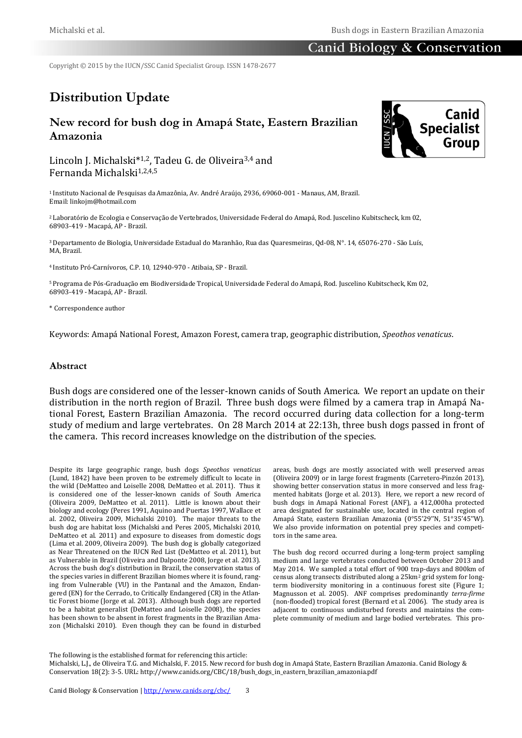# Canid Biology & Conservation

Copyright © 2015 by the IUCN/SSC Canid Specialist Group. ISSN 1478-2677

# **Distribution Update**

# **New record for bush dog in Amapá State, Eastern Brazilian Amazonia**

Lincoln J. Michalski\*1,2, Tadeu G. de Oliveira3,4 and Fernanda Michalski1,2,4,5

<sup>1</sup>Instituto Nacional de Pesquisas da Amazônia, Av. André Araújo, 2936, 69060-001 - Manaus, AM, Brazil. Email: linkojm@hotmail.com

<sup>2</sup>Laboratório de Ecologia e Conservação de Vertebrados, Universidade Federal do Amapá, Rod. Juscelino Kubitscheck, km 02, 68903-419 - Macapá, AP - Brazil.

<sup>3</sup>Departamento de Biologia, Universidade Estadual do Maranhão, Rua das Quaresmeiras, Qd-08, N°. 14, 65076-270 - São Luís, MA, Brazil.

<sup>4</sup>Instituto Pró-Carnívoros, C.P. 10, 12940-970 - Atibaia, SP - Brazil.

<sup>5</sup>Programa de Pós-Graduação em Biodiversidade Tropical, Universidade Federal do Amapá, Rod. Juscelino Kubitscheck, Km 02, 68903-419 - Macapá, AP - Brazil.

\* Correspondence author

Keywords: Amapá National Forest, Amazon Forest, camera trap, geographic distribution, *Speothos venaticus*.

#### **Abstract**

Bush dogs are considered one of the lesser-known canids of South America. We report an update on their distribution in the north region of Brazil. Three bush dogs were filmed by a camera trap in Amapá National Forest, Eastern Brazilian Amazonia. The record occurred during data collection for a long-term study of medium and large vertebrates. On 28 March 2014 at 22:13h, three bush dogs passed in front of the camera. This record increases knowledge on the distribution of the species.

Despite its large geographic range, bush dogs *Speothos venaticus* (Lund, 1842) have been proven to be extremely difficult to locate in the wild (DeMatteo and Loiselle 2008, DeMatteo et al. 2011). Thus it is considered one of the lesser-known canids of South America (Oliveira 2009, DeMatteo et al. 2011). Little is known about their biology and ecology (Peres 1991, Aquino and Puertas 1997, Wallace et al. 2002, Oliveira 2009, Michalski 2010). The major threats to the bush dog are habitat loss (Michalski and Peres 2005, Michalski 2010, DeMatteo et al. 2011) and exposure to diseases from domestic dogs (Lima et al. 2009, Oliveira 2009). The bush dog is globally categorized as Near Threatened on the IUCN Red List (DeMatteo et al. 2011), but as Vulnerable in Brazil (Oliveira and Dalponte 2008, Jorge et al. 2013). Across the bush dog's distribution in Brazil, the conservation status of the species varies in different Brazilian biomes where it is found, ranging from Vulnerable (VU) in the Pantanal and the Amazon, Endangered (EN) for the Cerrado, to Critically Endangered (CR) in the Atlantic Forest biome (Jorge et al. 2013). Although bush dogs are reported to be a habitat generalist (DeMatteo and Loiselle 2008), the species has been shown to be absent in forest fragments in the Brazilian Amazon (Michalski 2010). Even though they can be found in disturbed areas, bush dogs are mostly associated with well preserved areas (Oliveira 2009) or in large forest fragments (Carretero-Pinzón 2013), showing better conservation status in more conserved and less fragmented habitats (Jorge et al. 2013). Here, we report a new record of bush dogs in Amapá National Forest (ANF), a 412,000ha protected area designated for sustainable use, located in the central region of Amapá State, eastern Brazilian Amazonia (0°55'29''N, 51°35'45''W). We also provide information on potential prey species and competitors in the same area.

The bush dog record occurred during a long-term project sampling medium and large vertebrates conducted between October 2013 and May 2014. We sampled a total effort of 900 trap-days and 800km of census along transects distributed along a 25km<sup>2</sup> grid system for longterm biodiversity monitoring in a continuous forest site (Figure 1; Magnusson et al. 2005). ANF comprises predominantly *terra-firme* (non-flooded) tropical forest (Bernard et al. 2006). The study area is adjacent to continuous undisturbed forests and maintains the complete community of medium and large bodied vertebrates. This pro-

The following is the established format for referencing this article:

Michalski, L.J., de Oliveira T.G. and Michalski, F. 2015. New record for bush dog in Amapá State, Eastern Brazilian Amazonia. Canid Biology & Conservation 18(2): 3-5. URL: http://www.canids.org/CBC/18/bush\_dogs\_in\_eastern\_brazilian\_amazonia.pdf

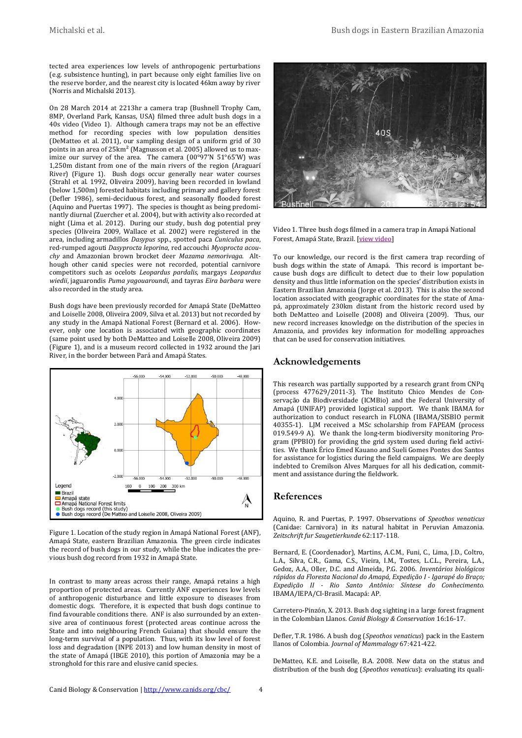tected area experiences low levels of anthropogenic perturbations (e.g. subsistence hunting), in part because only eight families live on the reserve border, and the nearest city is located 46km away by river (Norris and Michalski 2013).

On 28 March 2014 at 2213hr a camera trap (Bushnell Trophy Cam, 8MP, Overland Park, Kansas, USA) filmed three adult bush dogs in a 40s video (Video 1). Although camera traps may not be an effective method for recording species with low population densities (DeMatteo et al. 2011), our sampling design of a uniform grid of 30 points in an area of 25km<sup>2</sup> (Magnusson et al. 2005) allowed us to maximize our survey of the area. The camera (00°97'N 51°65'W) was 1,250m distant from one of the main rivers of the region (Araguarí River) (Figure 1). Bush dogs occur generally near water courses (Strahl et al. 1992, Oliveira 2009), having been recorded in lowland (below 1,500m) forested habitats including primary and gallery forest (Defler 1986), semi-deciduous forest, and seasonally flooded forest (Aquino and Puertas 1997). The species is thought as being predominantly diurnal (Zuercher et al. 2004), but with activity also recorded at night (Lima et al. 2012). During our study, bush dog potential prey species (Oliveira 2009, Wallace et al. 2002) were registered in the area, including armadillos *Dasypus* spp., spotted paca *Cuniculus paca*, red-rumped agouti *Dasyprocta leporina*, red accouchi *Myoprocta acouchy* and Amazonian brown brocket deer *Mazama nemorivaga*. Although other canid species were not recorded, potential carnivore competitors such as ocelots *Leopardus pardalis*, margays *Leopardus wiedii*, jaguarondis *Puma yagouaroundi*, and tayras *Eira barbara* were also recorded in the study area.

Bush dogs have been previously recorded for Amapá State (DeMatteo and Loiselle 2008, Oliveira 2009, Silva et al. 2013) but not recorded by any study in the Amapá National Forest (Bernard et al. 2006). However, only one location is associated with geographic coordinates (same point used by both DeMatteo and Loiselle 2008, Oliveira 2009) (Figure 1), and is a museum record collected in 1932 around the Jari River, in the border between Pará and Amapá States.



Figure 1. Location of the study region in Amapá National Forest (ANF), Amapá State, eastern Brazilian Amazonia. The green circle indicates the record of bush dogs in our study, while the blue indicates the previous bush dog record from 1932 in Amapá State.

In contrast to many areas across their range, Amapá retains a high proportion of protected areas. Currently ANF experiences low levels of anthropogenic disturbance and little exposure to diseases from domestic dogs. Therefore, it is expected that bush dogs continue to find favourable conditions there. ANF is also surrounded by an extensive area of continuous forest (protected areas continue across the State and into neighbouring French Guiana) that should ensure the long-term survival of a population. Thus, with its low level of forest loss and degradation (INPE 2013) and low human density in most of the state of Amapá (IBGE 2010), this portion of Amazonia may be a stronghold for this rare and elusive canid species.



Video 1. Three bush dogs filmed in a camera trap in Amapá National Forest, Amapá State, Brazil. [\[view video\]](http://www.canids.org/resources/video/Michalski_Amazon_bush_dogs.AVI)

To our knowledge, our record is the first camera trap recording of bush dogs within the state of Amapá. This record is important because bush dogs are difficult to detect due to their low population density and thus little information on the species' distribution exists in Eastern Brazilian Amazonia (Jorge et al. 2013). This is also the second location associated with geographic coordinates for the state of Amapá, approximately 230km distant from the historic record used by both DeMatteo and Loiselle (2008) and Oliveira (2009). Thus, our new record increases knowledge on the distribution of the species in Amazonia, and provides key information for modelling approaches that can be used for conservation initiatives.

## **Acknowledgements**

This research was partially supported by a research grant from CNPq (process 477629/2011-3). The Instituto Chico Mendes de Conservação da Biodiversidade (ICMBio) and the Federal University of Amapá (UNIFAP) provided logistical support. We thank IBAMA for authorization to conduct research in FLONA (IBAMA/SISBIO permit 40355-1). LJM received a MSc scholarship from FAPEAM (process 019.549-9 A). We thank the long-term biodiversity monitoring Program (PPBIO) for providing the grid system used during field activities. We thank Érico Emed Kauano and Sueli Gomes Pontes dos Santos for assistance for logistics during the field campaigns. We are deeply indebted to Cremilson Alves Marques for all his dedication, commitment and assistance during the fieldwork.

#### **References**

Aquino, R. and Puertas, P. 1997. Observations of *Speothos venaticus*  (Canidae: Carnivora) in its natural habitat in Peruvian Amazonia. *Zeitschrift fur Saugetierkunde* 62:117-118.

Bernard, E. (Coordenador), Martins, A.C.M., Funi, C., Lima, J.D., Coltro, L.A., Silva, C.R., Gama, C.S., Vieira, I.M., Tostes, L.C.L., Pereira, L.A., Gedoz, A.A., Oller, D.C. and Almeida, P.G. 2006. *Inventários biológicos rápidos da Floresta Nacional do Amapá, Expedição I - Igarapé do Braço; Expedição II - Rio Santo Antônio: Síntese do Conhecimento.*  IBAMA/IEPA/CI-Brasil. Macapá: AP.

Carretero-Pinzón, X. 2013. Bush dog sighting in a large forest fragment in the Colombian Llanos. *Canid Biology & Conservation* 16:16-17.

Defler, T.R. 1986. A bush dog (*Speothos venaticus*) pack in the Eastern llanos of Colombia. *Journal of Mammalogy* 67:421-422.

DeMatteo, K.E. and Loiselle, B.A. 2008. New data on the status and distribution of the bush dog (*Speothos venaticus*): evaluating its quali